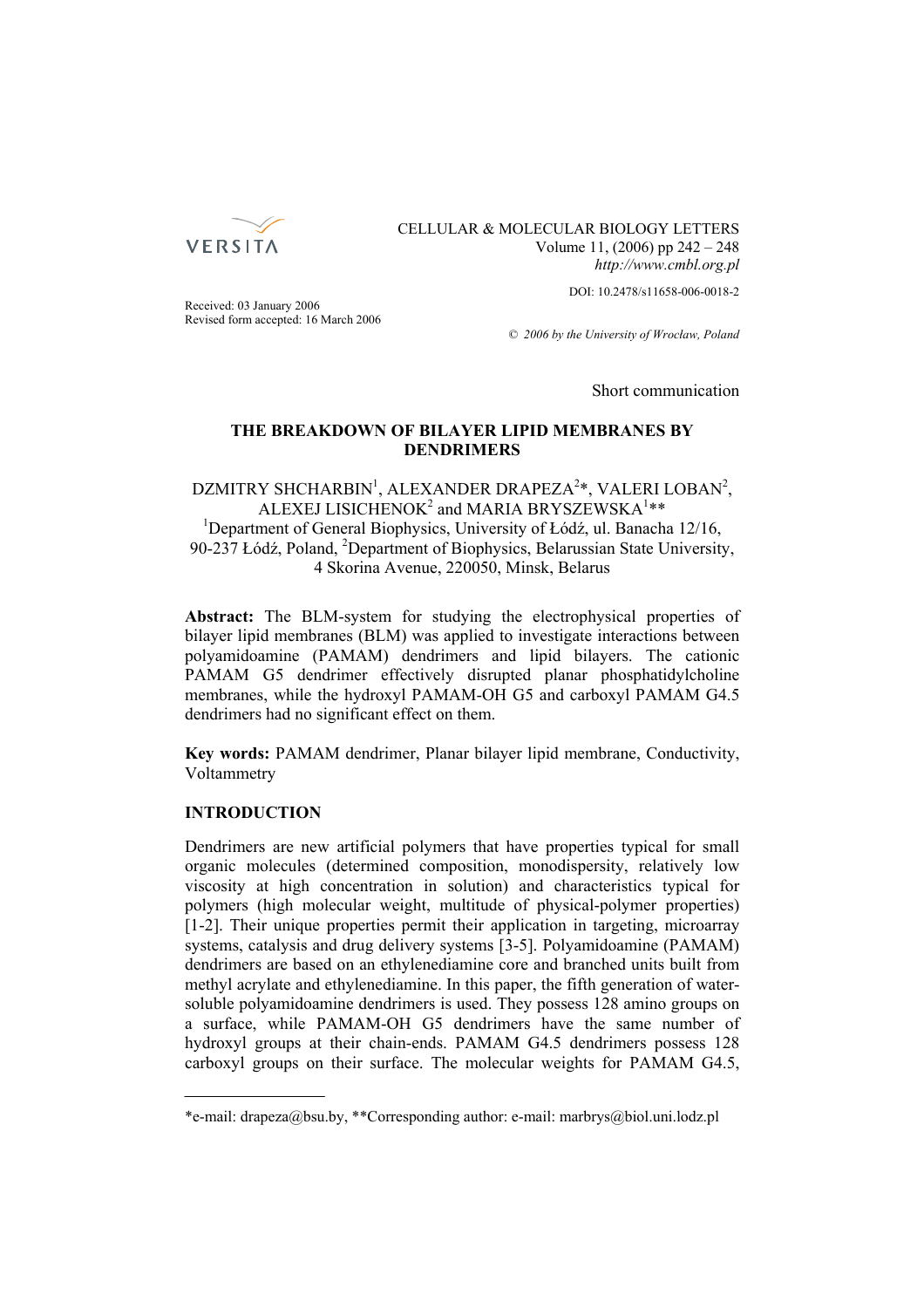

CELLULAR & MOLECULAR BIOLOGY LETTERS Volume 11, (2006) pp 242 – 248 *http://www.cmbl.org.pl*

DOI: 10.2478/s11658-006-0018-2

Received: 03 January 2006 Revised form accepted: 16 March 2006

*© 2006 by the University of Wrocław, Poland*

Short communication

## **THE BREAKDOWN OF BILAYER LIPID MEMBRANES BY DENDRIMERS**

# DZMITRY SHCHARBIN<sup>1</sup>, ALEXANDER DRAPEZA<sup>2</sup>\*, VALERI LOBAN<sup>2</sup>, ALEXEJ LISICHENOK $^2$  and MARIA BRYSZEWSKA $^1 \ast \ast$ <sup>1</sup>Department of General Biophysics, University of Łódź, ul. Banacha 12/16,

90-237 Łódź, Poland, <sup>2</sup>Department of Biophysics, Belarussian State University, 4 Skorina Avenue, 220050, Minsk, Belarus

**Abstract:** The BLM-system for studying the electrophysical properties of bilayer lipid membranes (BLM) was applied to investigate interactions between polyamidoamine (PAMAM) dendrimers and lipid bilayers. The cationic PAMAM G5 dendrimer effectively disrupted planar phosphatidylcholine membranes, while the hydroxyl PAMAM-OH G5 and carboxyl PAMAM G4.5 dendrimers had no significant effect on them.

**Key words:** PAMAM dendrimer, Planar bilayer lipid membrane, Conductivity, Voltammetry

## **INTRODUCTION**

Dendrimers are new artificial polymers that have properties typical for small organic molecules (determined composition, monodispersity, relatively low viscosity at high concentration in solution) and characteristics typical for polymers (high molecular weight, multitude of physical-polymer properties) [1-2]. Their unique properties permit their application in targeting, microarray systems, catalysis and drug delivery systems [3-5]. Polyamidoamine (PAMAM) dendrimers are based on an ethylenediamine core and branched units built from methyl acrylate and ethylenediamine. In this paper, the fifth generation of watersoluble polyamidoamine dendrimers is used. They possess 128 amino groups on a surface, while PAMAM-OH G5 dendrimers have the same number of hydroxyl groups at their chain-ends. PAMAM G4.5 dendrimers possess 128 carboxyl groups on their surface. The molecular weights for PAMAM G4.5,

<sup>\*</sup>e-mail: drapeza@bsu.by, \*\*Corresponding author: e-mail: marbrys@biol.uni.lodz.pl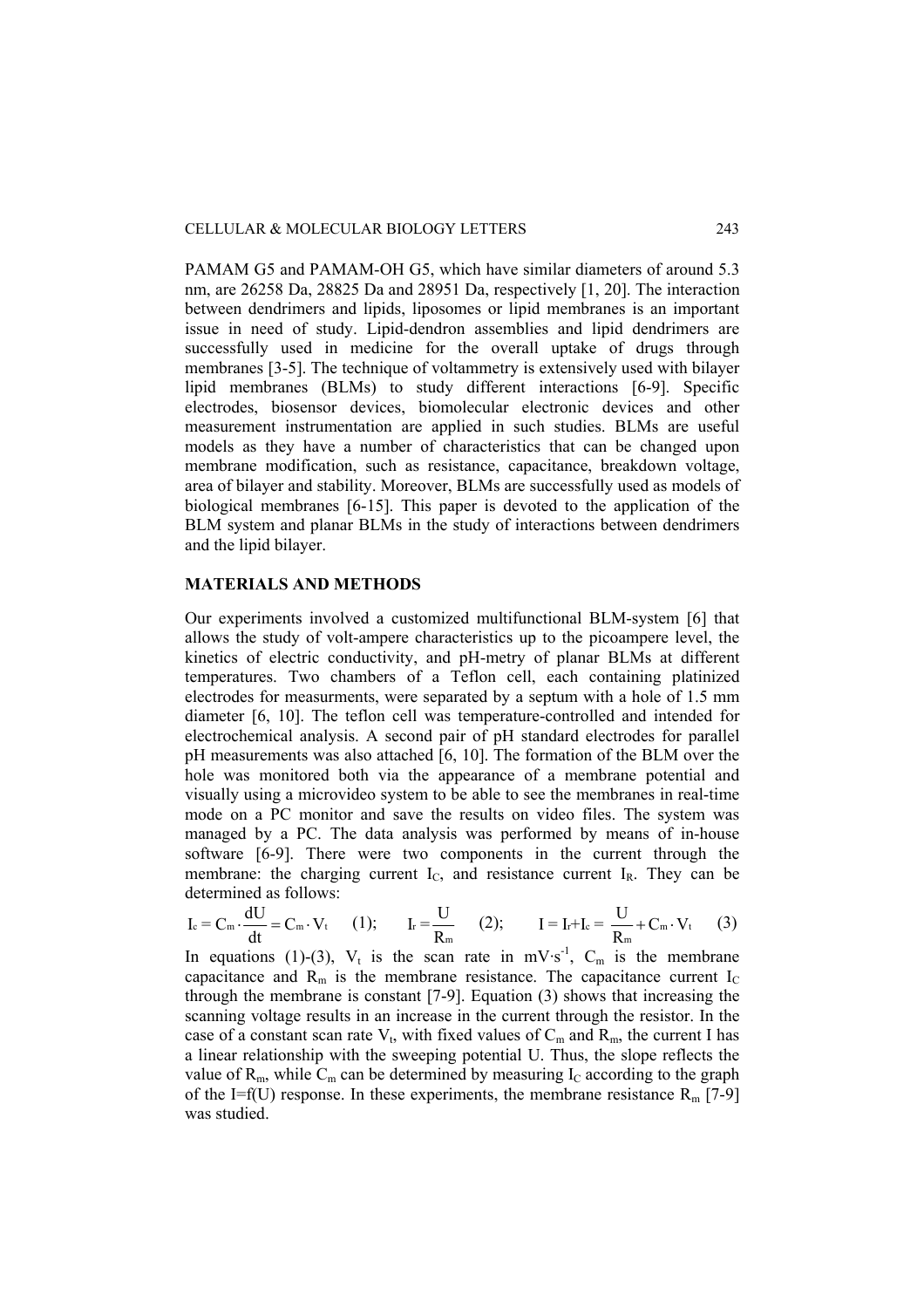PAMAM G5 and PAMAM-OH G5, which have similar diameters of around 5.3 nm, are 26258 Da, 28825 Da and 28951 Da, respectively [1, 20]. The interaction between dendrimers and lipids, liposomes or lipid membranes is an important issue in need of study. Lipid-dendron assemblies and lipid dendrimers are successfully used in medicine for the overall uptake of drugs through membranes [3-5]. The technique of voltammetry is extensively used with bilayer lipid membranes (BLMs) to study different interactions [6-9]. Specific electrodes, biosensor devices, biomolecular electronic devices and other measurement instrumentation are applied in such studies. BLMs are useful models as they have a number of characteristics that can be changed upon membrane modification, such as resistance, capacitance, breakdown voltage, area of bilayer and stability. Moreover, BLMs are successfully used as models of biological membranes [6-15]. This paper is devoted to the application of the BLM system and planar BLMs in the study of interactions between dendrimers and the lipid bilayer.

#### **MATERIALS AND METHODS**

Our experiments involved a customized multifunctional BLM-system [6] that allows the study of volt-ampere characteristics up to the picoampere level, the kinetics of electric conductivity, and pH-metry of planar BLMs at different temperatures. Two chambers of a Teflon cell, each containing platinized electrodes for measurments, were separated by a septum with a hole of 1.5 mm diameter [6, 10]. The teflon cell was temperature-controlled and intended for electrochemical analysis. A second pair of pH standard electrodes for parallel pH measurements was also attached [6, 10]. The formation of the BLM over the hole was monitored both via the appearance of a membrane potential and visually using a microvideo system to be able to see the membranes in real-time mode on a PC monitor and save the results on video files. The system was managed by a PC. The data analysis was performed by means of in-house software [6-9]. There were two components in the current through the membrane: the charging current  $I_c$ , and resistance current  $I_R$ . They can be determined as follows:

$$
I_c = C_m \cdot \frac{dU}{dt} = C_m \cdot V_t \qquad (1); \qquad I_r = \frac{U}{R_m} \qquad (2); \qquad I = I_r + I_c = \frac{U}{R_m} + C_m \cdot V_t \qquad (3)
$$

In equations (1)-(3),  $V_t$  is the scan rate in mV·s<sup>-1</sup>, C<sub>m</sub> is the membrane capacitance and  $R_m$  is the membrane resistance. The capacitance current  $I_c$ through the membrane is constant [7-9]. Equation (3) shows that increasing the scanning voltage results in an increase in the current through the resistor. In the case of a constant scan rate  $V_t$ , with fixed values of  $C_m$  and  $R_m$ , the current I has a linear relationship with the sweeping potential U. Thus, the slope reflects the value of  $R_m$ , while  $C_m$  can be determined by measuring  $I_c$  according to the graph of the I=f(U) response. In these experiments, the membrane resistance  $R_m$  [7-9] was studied.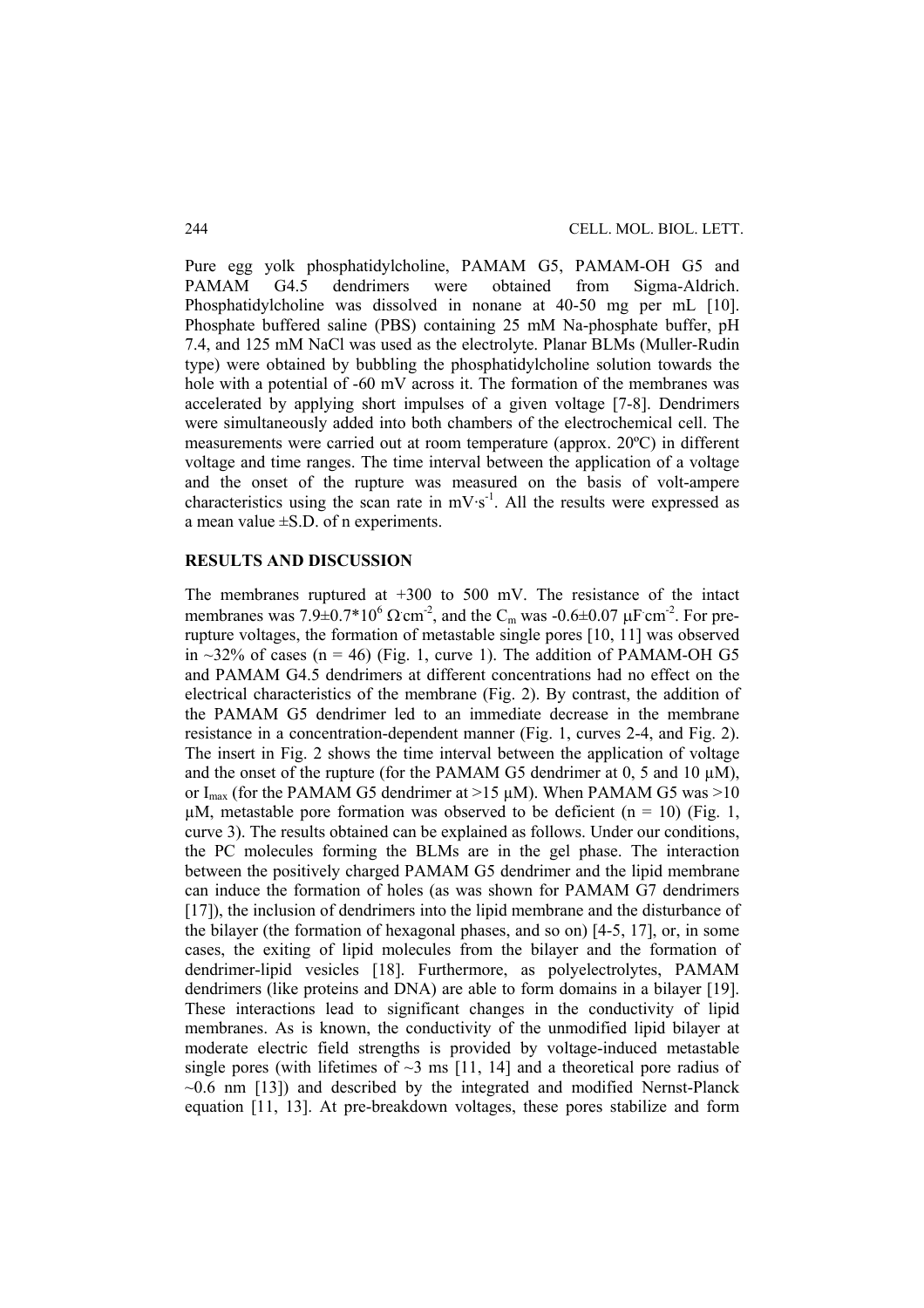Pure egg yolk phosphatidylcholine, PAMAM G5, PAMAM-OH G5 and PAMAM G4.5 dendrimers were obtained from Sigma-Aldrich. Phosphatidylcholine was dissolved in nonane at 40-50 mg per mL [10]. Phosphate buffered saline (PBS) containing 25 mM Na-phosphate buffer, pH 7.4, and 125 mM NaCl was used as the electrolyte. Planar BLMs (Muller-Rudin type) were obtained by bubbling the phosphatidylcholine solution towards the hole with a potential of -60 mV across it. The formation of the membranes was accelerated by applying short impulses of a given voltage [7-8]. Dendrimers were simultaneously added into both chambers of the electrochemical cell. The measurements were carried out at room temperature (approx. 20ºC) in different voltage and time ranges. The time interval between the application of a voltage and the onset of the rupture was measured on the basis of volt-ampere characteristics using the scan rate in  $mV·s^{-1}$ . All the results were expressed as a mean value  $\pm$ S.D. of n experiments.

### **RESULTS AND DISCUSSION**

The membranes ruptured at  $+300$  to 500 mV. The resistance of the intact membranes was  $7.9 \pm 0.7 \times 10^6 \Omega \text{ cm}^2$ , and the C<sub>m</sub> was -0.6 $\pm 0.07 \mu \text{F cm}^2$ . For prerupture voltages, the formation of metastable single pores [10, 11] was observed in  $\sim$ 32% of cases (n = 46) (Fig. 1, curve 1). The addition of PAMAM-OH G5 and PAMAM G4.5 dendrimers at different concentrations had no effect on the electrical characteristics of the membrane (Fig. 2). By contrast, the addition of the PAMAM G5 dendrimer led to an immediate decrease in the membrane resistance in a concentration-dependent manner (Fig. 1, curves 2-4, and Fig. 2). The insert in Fig. 2 shows the time interval between the application of voltage and the onset of the rupture (for the PAMAM G5 dendrimer at  $0$ , 5 and  $10 \mu M$ ), or I<sub>max</sub> (for the PAMAM G5 dendrimer at  $>15 \mu$ M). When PAMAM G5 was  $>10$  $\mu$ M, metastable pore formation was observed to be deficient (n = 10) (Fig. 1, curve 3). The results obtained can be explained as follows. Under our conditions, the PC molecules forming the BLMs are in the gel phase. The interaction between the positively charged PAMAM G5 dendrimer and the lipid membrane can induce the formation of holes (as was shown for PAMAM G7 dendrimers [17]), the inclusion of dendrimers into the lipid membrane and the disturbance of the bilayer (the formation of hexagonal phases, and so on) [4-5, 17], or, in some cases, the exiting of lipid molecules from the bilayer and the formation of dendrimer-lipid vesicles [18]. Furthermore, as polyelectrolytes, PAMAM dendrimers (like proteins and DNA) are able to form domains in a bilayer [19]. These interactions lead to significant changes in the conductivity of lipid membranes. As is known, the conductivity of the unmodified lipid bilayer at moderate electric field strengths is provided by voltage-induced metastable single pores (with lifetimes of  $\sim$ 3 ms [11, 14] and a theoretical pore radius of  $\sim 0.6$  nm [13]) and described by the integrated and modified Nernst-Planck equation [11, 13]. At pre-breakdown voltages, these pores stabilize and form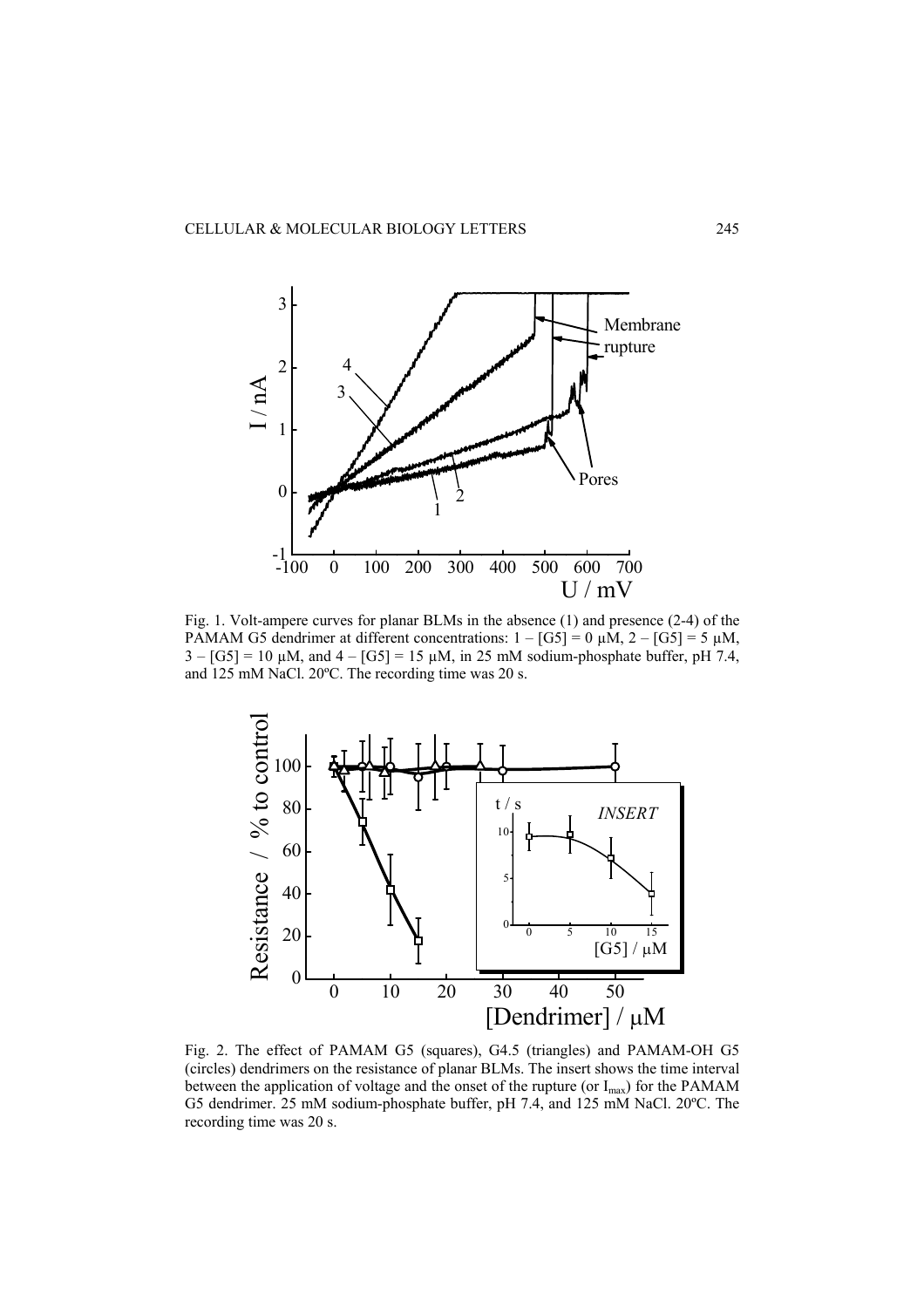

Fig. 1. Volt-ampere curves for planar BLMs in the absence (1) and presence (2-4) of the PAMAM G5 dendrimer at different concentrations:  $1 - [G5] = 0 \mu M$ ,  $2 - [G5] = 5 \mu M$ ,  $3 - [G5] = 10 \mu M$ , and  $4 - [G5] = 15 \mu M$ , in 25 mM sodium-phosphate buffer, pH 7.4, and 125 mM NaCl. 20ºC. The recording time was 20 s.



Fig. 2. The effect of PAMAM G5 (squares), G4.5 (triangles) and PAMAM-OH G5 (circles) dendrimers on the resistance of planar BLMs. The insert shows the time interval between the application of voltage and the onset of the rupture (or  $I_{max}$ ) for the PAMAM G5 dendrimer. 25 mM sodium-phosphate buffer, pH 7.4, and 125 mM NaCl. 20ºC. The recording time was 20 s.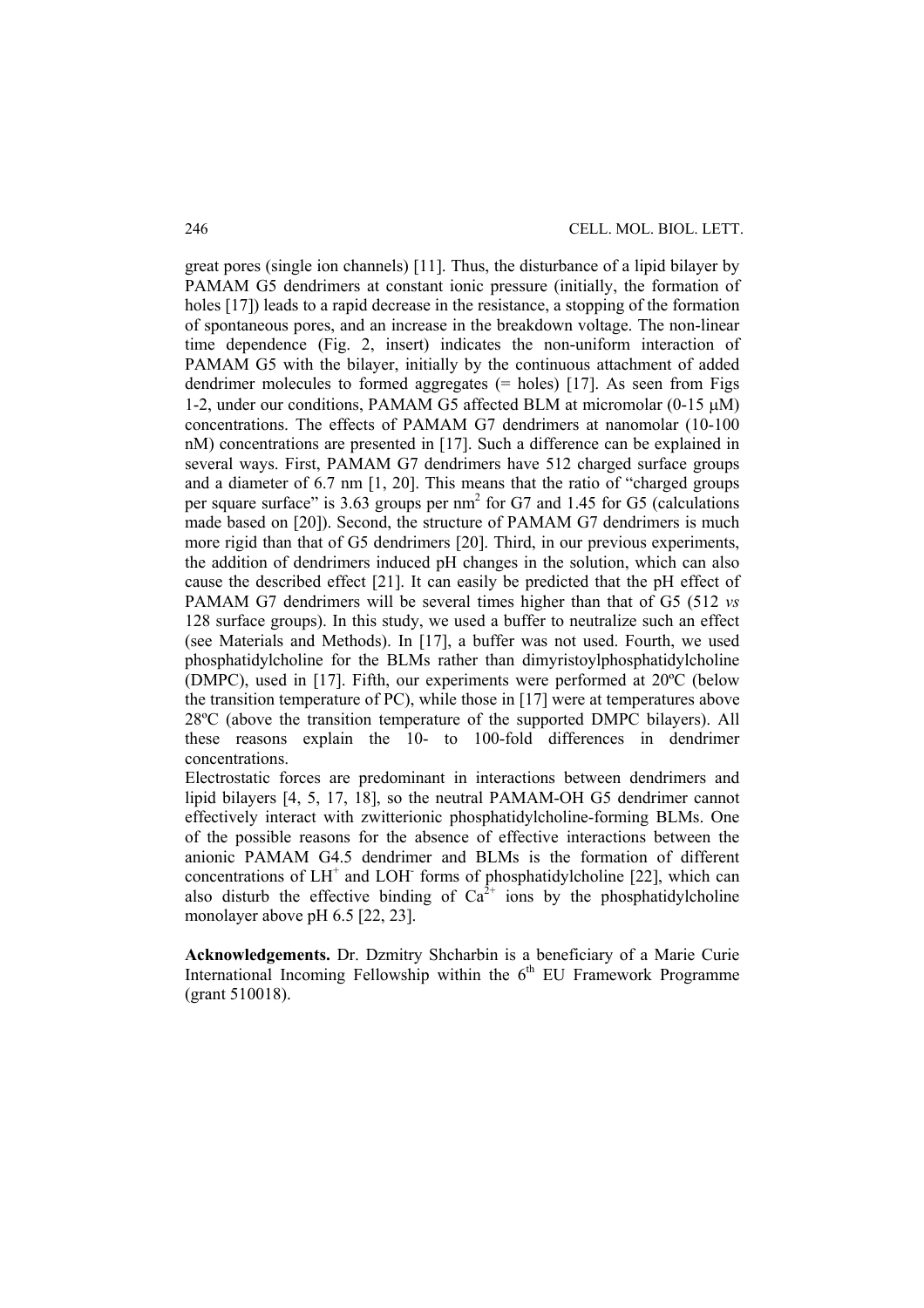great pores (single ion channels) [11]. Thus, the disturbance of a lipid bilayer by PAMAM G5 dendrimers at constant ionic pressure (initially, the formation of holes [17]) leads to a rapid decrease in the resistance, a stopping of the formation of spontaneous pores, and an increase in the breakdown voltage. The non-linear time dependence (Fig. 2, insert) indicates the non-uniform interaction of PAMAM G5 with the bilayer, initially by the continuous attachment of added dendrimer molecules to formed aggregates  $(=$  holes) [17]. As seen from Figs 1-2, under our conditions, PAMAM G5 affected BLM at micromolar (0-15 μM) concentrations. The effects of PAMAM G7 dendrimers at nanomolar (10-100 nM) concentrations are presented in [17]. Such a difference can be explained in several ways. First, PAMAM G7 dendrimers have 512 charged surface groups and a diameter of 6.7 nm [1, 20]. This means that the ratio of "charged groups per square surface" is  $3.63$  groups per nm<sup>2</sup> for G7 and 1.45 for G5 (calculations made based on [20]). Second, the structure of PAMAM G7 dendrimers is much more rigid than that of G5 dendrimers [20]. Third, in our previous experiments, the addition of dendrimers induced pH changes in the solution, which can also cause the described effect [21]. It can easily be predicted that the pH effect of PAMAM G7 dendrimers will be several times higher than that of G5 (512 *vs* 128 surface groups). In this study, we used a buffer to neutralize such an effect (see Materials and Methods). In [17], a buffer was not used. Fourth, we used phosphatidylcholine for the BLMs rather than dimyristoylphosphatidylcholine (DMPC), used in [17]. Fifth, our experiments were performed at 20ºC (below the transition temperature of PC), while those in [17] were at temperatures above 28ºC (above the transition temperature of the supported DMPC bilayers). All these reasons explain the 10- to 100-fold differences in dendrimer concentrations.

Electrostatic forces are predominant in interactions between dendrimers and lipid bilayers [4, 5, 17, 18], so the neutral PAMAM-OH G5 dendrimer cannot effectively interact with zwitterionic phosphatidylcholine-forming BLMs. One of the possible reasons for the absence of effective interactions between the anionic PAMAM G4.5 dendrimer and BLMs is the formation of different concentrations of  $LH^+$  and  $LOH^-$  forms of phosphatidylcholine [22], which can also disturb the effective binding of  $Ca^{2+}$  ions by the phosphatidylcholine monolayer above pH 6.5 [22, 23].

**Acknowledgements.** Dr. Dzmitry Shcharbin is a beneficiary of a Marie Curie International Incoming Fellowship within the  $6<sup>th</sup>$  EU Framework Programme (grant 510018).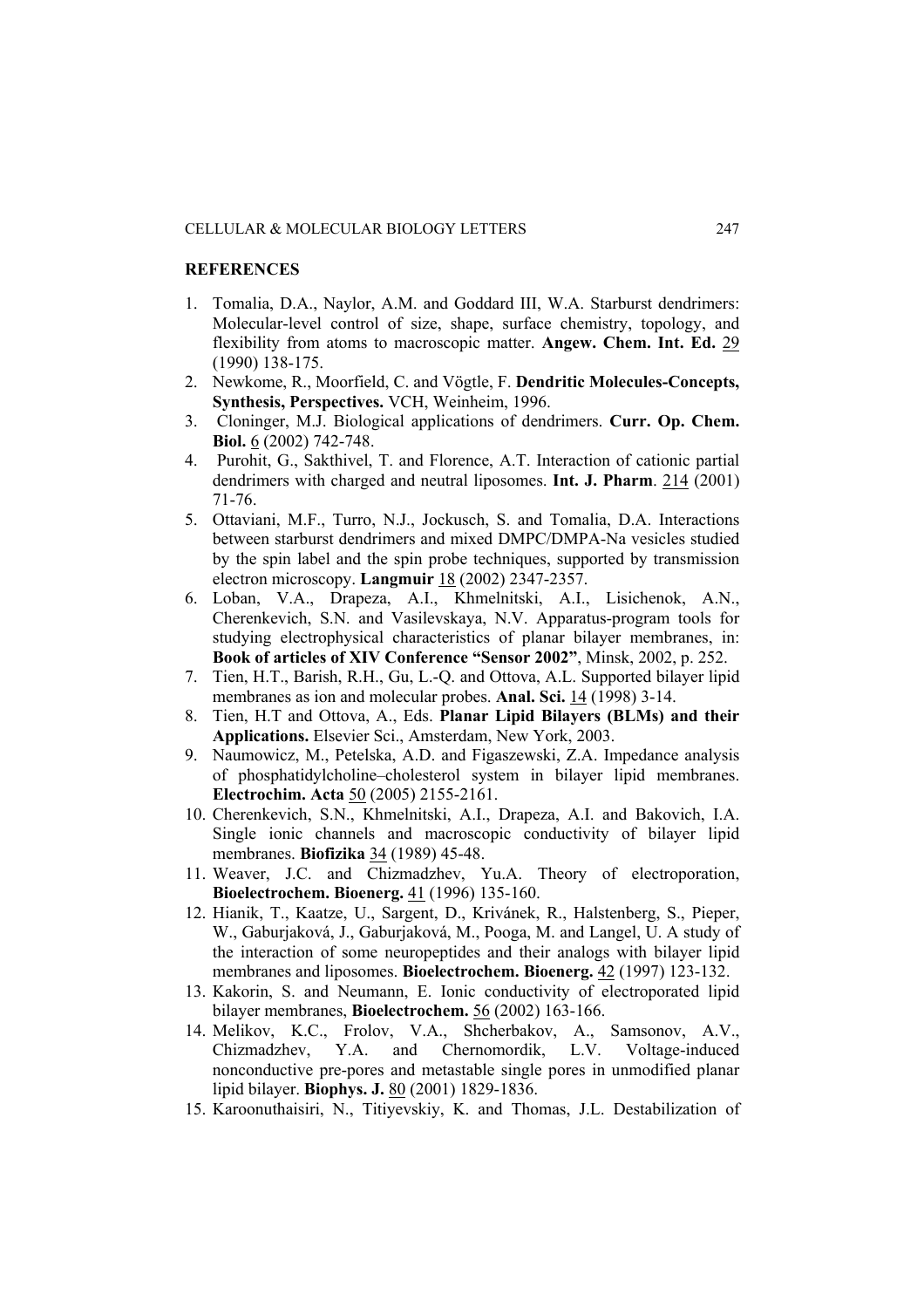#### **REFERENCES**

- 1. Tomalia, D.A., Naylor, A.M. and Goddard III, W.A. Starburst dendrimers: Molecular-level control of size, shape, surface chemistry, topology, and flexibility from atoms to macroscopic matter. **Angew. Chem. Int. Ed.** 29 (1990) 138-175.
- 2. Newkome, R., Moorfield, C. and Vögtle, F. **Dendritic Molecules-Concepts, Synthesis, Perspectives.** VCH, Weinheim, 1996.
- 3. Cloninger, M.J. Biological applications of dendrimers. **Curr. Op. Chem. Biol.** 6 (2002) 742-748.
- 4. Purohit, G., Sakthivel, T. and Florence, A.T. Interaction of cationic partial dendrimers with charged and neutral liposomes. **Int. J. Pharm**. 214 (2001) 71-76.
- 5. Ottaviani, M.F., Turro, N.J., Jockusch, S. and Tomalia, D.A. Interactions between starburst dendrimers and mixed DMPC/DMPA-Na vesicles studied by the spin label and the spin probe techniques, supported by transmission electron microscopy. **Langmuir** 18 (2002) 2347-2357.
- 6. Loban, V.A., Drapeza, A.I., Khmelnitski, A.I., Lisichenok, A.N., Cherenkevich, S.N. and Vasilevskaya, N.V. Apparatus-program tools for studying electrophysical characteristics of planar bilayer membranes, in: **Book of articles of XIV Conference "Sensor 2002"**, Minsk, 2002, p. 252.
- 7. Tien, H.T., Barish, R.H., Gu, L.-Q. and Ottova, A.L. Supported bilayer lipid membranes as ion and molecular probes. **Anal. Sci.** 14 (1998) 3-14.
- 8. Tien, H.T and Ottova, A., Eds. **Planar Lipid Bilayers (BLMs) and their Applications.** Elsevier Sci., Amsterdam, New York, 2003.
- 9. Naumowicz, M., Petelska, A.D. and Figaszewski, Z.A. Impedance analysis of phosphatidylcholine–cholesterol system in bilayer lipid membranes. **Electrochim. Acta** 50 (2005) 2155-2161.
- 10. Cherenkevich, S.N., Khmelnitski, A.I., Drapeza, A.I. and Bakovich, I.A. Single ionic channels and macroscopic conductivity of bilayer lipid membranes. **Biofizika** 34 (1989) 45-48.
- 11. Weaver, J.C. and Chizmadzhev, Yu.A. Theory of electroporation, **Bioelectrochem. Bioenerg.** 41 (1996) 135-160.
- 12. Hianik, T., Kaatze, U., Sargent, D., Krivánek, R., Halstenberg, S., Pieper, W., Gaburjaková, J., Gaburjaková, M., Pooga, M. and Langel, U. A study of the interaction of some neuropeptides and their analogs with bilayer lipid membranes and liposomes. **Bioelectrochem. Bioenerg.** 42 (1997) 123-132.
- 13. Kakorin, S. and Neumann, E. Ionic conductivity of electroporated lipid bilayer membranes, **Bioelectrochem.** 56 (2002) 163-166.
- 14. Melikov, K.C., Frolov, V.A., Shcherbakov, A., Samsonov, A.V., Chizmadzhev, Y.A. and Chernomordik, L.V. Voltage-induced nonconductive pre-pores and metastable single pores in unmodified planar lipid bilayer. **Biophys. J.** 80 (2001) 1829-1836.
- 15. Karoonuthaisiri, N., Titiyevskiy, K. and Thomas, J.L. Destabilization of